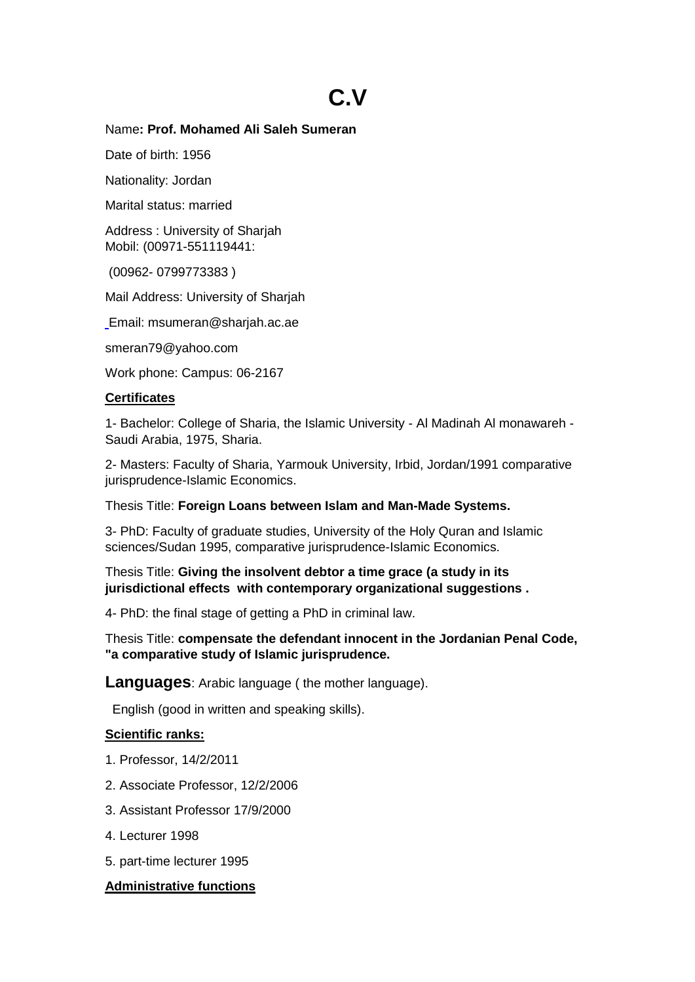# **C.V**

## Name**: Prof. Mohamed Ali Saleh Sumeran**

Date of birth: 1956

Nationality: Jordan

Marital status: married

Address : University of Sharjah Mobil: (00971-551119441:

(00962- 0799773383 )

Mail Address: University of Sharjah

[Email: msumeran@sharjah.ac.ae](mailto:smeran79@yahoo.com)

smeran79@yahoo.com

Work phone: Campus: 06-2167

## **Certificates**

1- Bachelor: College of Sharia, the Islamic University - Al Madinah Al monawareh - Saudi Arabia, 1975, Sharia.

2- Masters: Faculty of Sharia, Yarmouk University, Irbid, Jordan/1991 comparative jurisprudence-Islamic Economics.

Thesis Title: **Foreign Loans between Islam and Man-Made Systems.**

3- PhD: Faculty of graduate studies, University of the Holy Quran and Islamic sciences/Sudan 1995, comparative jurisprudence-Islamic Economics.

Thesis Title: **Giving the insolvent debtor a time grace (a study in its jurisdictional effects with contemporary organizational suggestions .**

4- PhD: the final stage of getting a PhD in criminal law.

Thesis Title: **compensate the defendant innocent in the Jordanian Penal Code, "a comparative study of Islamic jurisprudence.**

**Languages**: Arabic language ( the mother language).

English (good in written and speaking skills).

# **Scientific ranks:**

- 1. Professor, 14/2/2011
- 2. Associate Professor, 12/2/2006
- 3. Assistant Professor 17/9/2000
- 4. Lecturer 1998
- 5. part-time lecturer 1995

# **Administrative functions**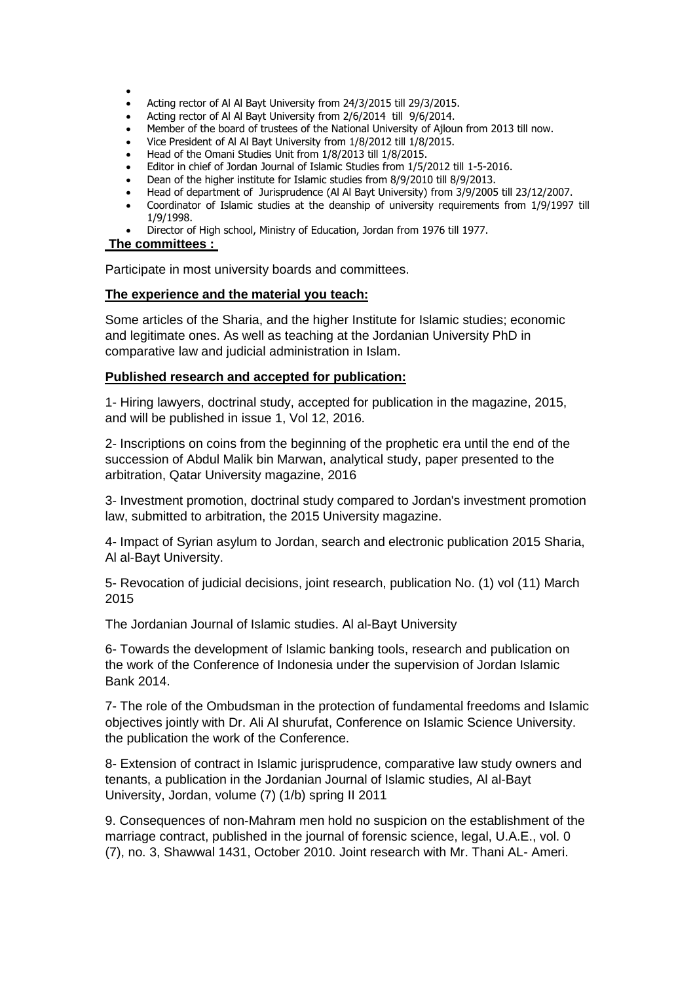$\bullet$ 

- Acting rector of Al Al Bayt University from 24/3/2015 till 29/3/2015.
- Acting rector of Al Al Bayt University from 2/6/2014 till 9/6/2014.
- Member of the board of trustees of the National University of Ajloun from 2013 till now.
- Vice President of Al Al Bayt University from 1/8/2012 till 1/8/2015.
- Head of the Omani Studies Unit from 1/8/2013 till 1/8/2015.
- Editor in chief of Jordan Journal of Islamic Studies from 1/5/2012 till 1-5-2016.
- Dean of the higher institute for Islamic studies from 8/9/2010 till 8/9/2013.
- Head of department of Jurisprudence (Al Al Bayt University) from 3/9/2005 till 23/12/2007.
- Coordinator of Islamic studies at the deanship of university requirements from 1/9/1997 till 1/9/1998.
- Director of High school, Ministry of Education, Jordan from 1976 till 1977.

#### **The committees :**

Participate in most university boards and committees.

#### **The experience and the material you teach:**

Some articles of the Sharia, and the higher Institute for Islamic studies; economic and legitimate ones. As well as teaching at the Jordanian University PhD in comparative law and judicial administration in Islam.

#### **Published research and accepted for publication:**

1- Hiring lawyers, doctrinal study, accepted for publication in the magazine, 2015, and will be published in issue 1, Vol 12, 2016.

2- Inscriptions on coins from the beginning of the prophetic era until the end of the succession of Abdul Malik bin Marwan, analytical study, paper presented to the arbitration, Qatar University magazine, 2016

3- Investment promotion, doctrinal study compared to Jordan's investment promotion law, submitted to arbitration, the 2015 University magazine.

4- Impact of Syrian asylum to Jordan, search and electronic publication 2015 Sharia, Al al-Bayt University.

5- Revocation of judicial decisions, joint research, publication No. (1) vol (11) March 2015

The Jordanian Journal of Islamic studies. Al al-Bayt University

6- Towards the development of Islamic banking tools, research and publication on the work of the Conference of Indonesia under the supervision of Jordan Islamic Bank 2014.

7- The role of the Ombudsman in the protection of fundamental freedoms and Islamic objectives jointly with Dr. Ali Al shurufat, Conference on Islamic Science University. the publication the work of the Conference.

8- Extension of contract in Islamic jurisprudence, comparative law study owners and tenants, a publication in the Jordanian Journal of Islamic studies, Al al-Bayt University, Jordan, volume (7) (1/b) spring II 2011

9. Consequences of non-Mahram men hold no suspicion on the establishment of the marriage contract, published in the journal of forensic science, legal, U.A.E., vol. 0 (7), no. 3, Shawwal 1431, October 2010. Joint research with Mr. Thani AL- Ameri.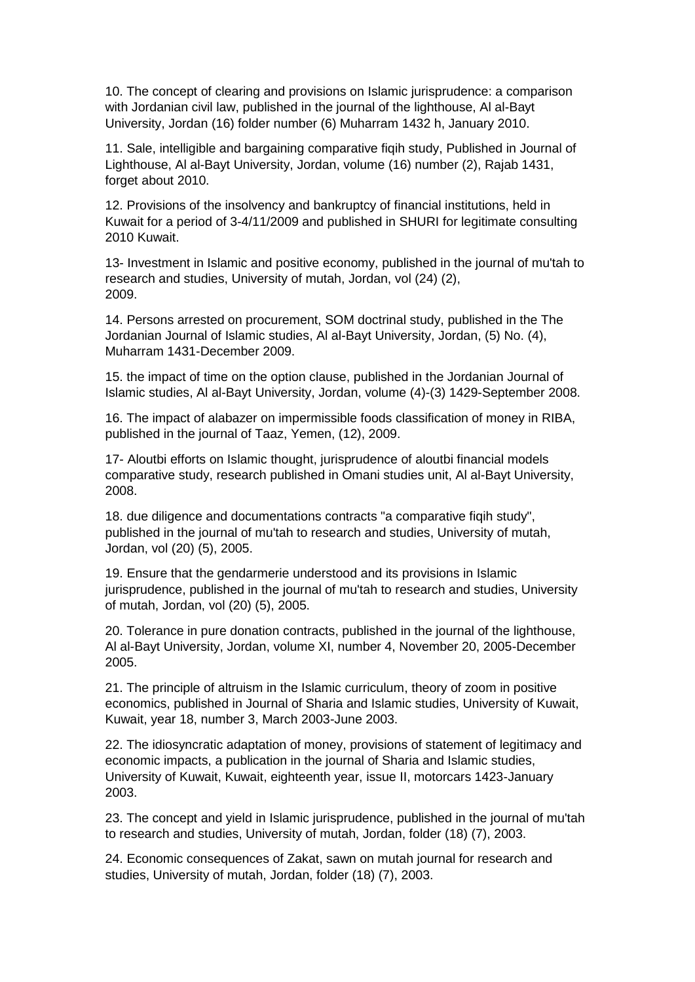10. The concept of clearing and provisions on Islamic jurisprudence: a comparison with Jordanian civil law, published in the journal of the lighthouse, Al al-Bayt University, Jordan (16) folder number (6) Muharram 1432 h, January 2010.

11. Sale, intelligible and bargaining comparative fiqih study, Published in Journal of Lighthouse, Al al-Bayt University, Jordan, volume (16) number (2), Rajab 1431, forget about 2010.

12. Provisions of the insolvency and bankruptcy of financial institutions, held in Kuwait for a period of 3-4/11/2009 and published in SHURI for legitimate consulting 2010 Kuwait.

13- Investment in Islamic and positive economy, published in the journal of mu'tah to research and studies, University of mutah, Jordan, vol (24) (2), 2009.

14. Persons arrested on procurement, SOM doctrinal study, published in the The Jordanian Journal of Islamic studies, Al al-Bayt University, Jordan, (5) No. (4), Muharram 1431-December 2009.

15. the impact of time on the option clause, published in the Jordanian Journal of Islamic studies, Al al-Bayt University, Jordan, volume (4)-(3) 1429-September 2008.

16. The impact of alabazer on impermissible foods classification of money in RIBA, published in the journal of Taaz, Yemen, (12), 2009.

17- Aloutbi efforts on Islamic thought, jurisprudence of aloutbi financial models comparative study, research published in Omani studies unit, Al al-Bayt University, 2008.

18. due diligence and documentations contracts "a comparative fiqih study", published in the journal of mu'tah to research and studies, University of mutah, Jordan, vol (20) (5), 2005.

19. Ensure that the gendarmerie understood and its provisions in Islamic jurisprudence, published in the journal of mu'tah to research and studies, University of mutah, Jordan, vol (20) (5), 2005.

20. Tolerance in pure donation contracts, published in the journal of the lighthouse, Al al-Bayt University, Jordan, volume XI, number 4, November 20, 2005-December 2005.

21. The principle of altruism in the Islamic curriculum, theory of zoom in positive economics, published in Journal of Sharia and Islamic studies, University of Kuwait, Kuwait, year 18, number 3, March 2003-June 2003.

22. The idiosyncratic adaptation of money, provisions of statement of legitimacy and economic impacts, a publication in the journal of Sharia and Islamic studies, University of Kuwait, Kuwait, eighteenth year, issue II, motorcars 1423-January 2003.

23. The concept and yield in Islamic jurisprudence, published in the journal of mu'tah to research and studies, University of mutah, Jordan, folder (18) (7), 2003.

24. Economic consequences of Zakat, sawn on mutah journal for research and studies, University of mutah, Jordan, folder (18) (7), 2003.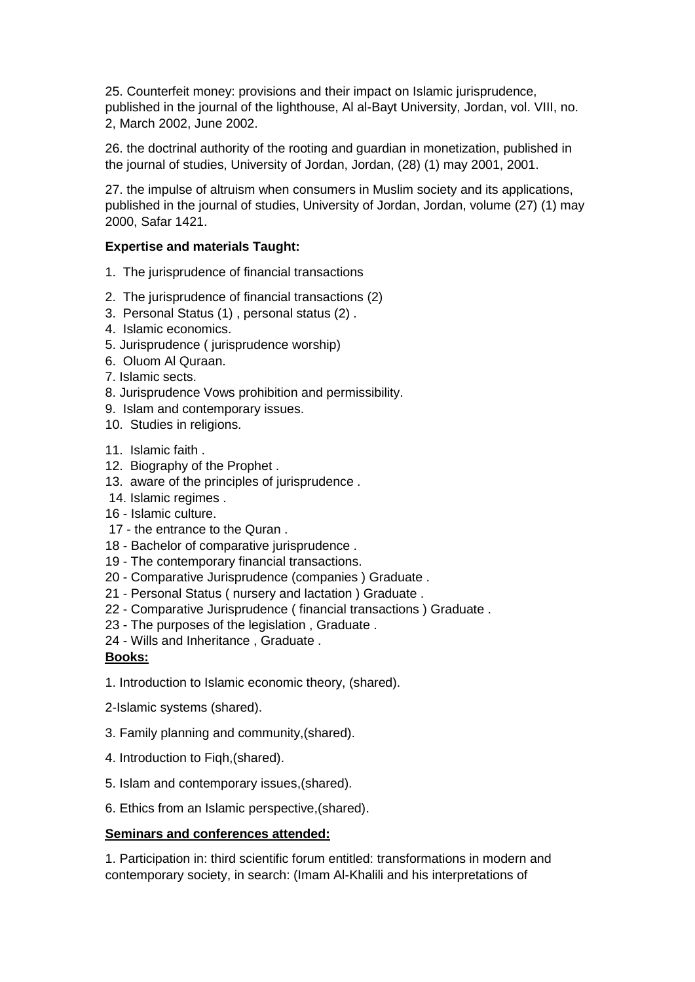25. Counterfeit money: provisions and their impact on Islamic jurisprudence, published in the journal of the lighthouse, Al al-Bayt University, Jordan, vol. VIII, no. 2, March 2002, June 2002.

26. the doctrinal authority of the rooting and guardian in monetization, published in the journal of studies, University of Jordan, Jordan, (28) (1) may 2001, 2001.

27. the impulse of altruism when consumers in Muslim society and its applications, published in the journal of studies, University of Jordan, Jordan, volume (27) (1) may 2000, Safar 1421.

## **Expertise and materials Taught:**

- 1. The jurisprudence of financial transactions
- 2. The jurisprudence of financial transactions (2)
- 3. Personal Status (1) , personal status (2) .
- 4. Islamic economics.
- 5. Jurisprudence ( jurisprudence worship)
- 6. Oluom Al Quraan.
- 7. Islamic sects.
- 8. Jurisprudence Vows prohibition and permissibility.
- 9. Islam and contemporary issues.
- 10. Studies in religions.
- 11. Islamic faith .
- 12. Biography of the Prophet .
- 13. aware of the principles of jurisprudence .
- 14. Islamic regimes .
- 16 Islamic culture.
- 17 the entrance to the Quran .
- 18 Bachelor of comparative jurisprudence .
- 19 The contemporary financial transactions.
- 20 Comparative Jurisprudence (companies ) Graduate .
- 21 Personal Status ( nursery and lactation ) Graduate .
- 22 Comparative Jurisprudence ( financial transactions ) Graduate .
- 23 The purposes of the legislation , Graduate .
- 24 Wills and Inheritance , Graduate .

## **Books:**

- 1. Introduction to Islamic economic theory, (shared).
- 2-Islamic systems (shared).
- 3. Family planning and community,(shared).
- 4. Introduction to Fiqh,(shared).
- 5. Islam and contemporary issues,(shared).
- 6. Ethics from an Islamic perspective,(shared).

## **Seminars and conferences attended:**

1. Participation in: third scientific forum entitled: transformations in modern and contemporary society, in search: (Imam Al-Khalili and his interpretations of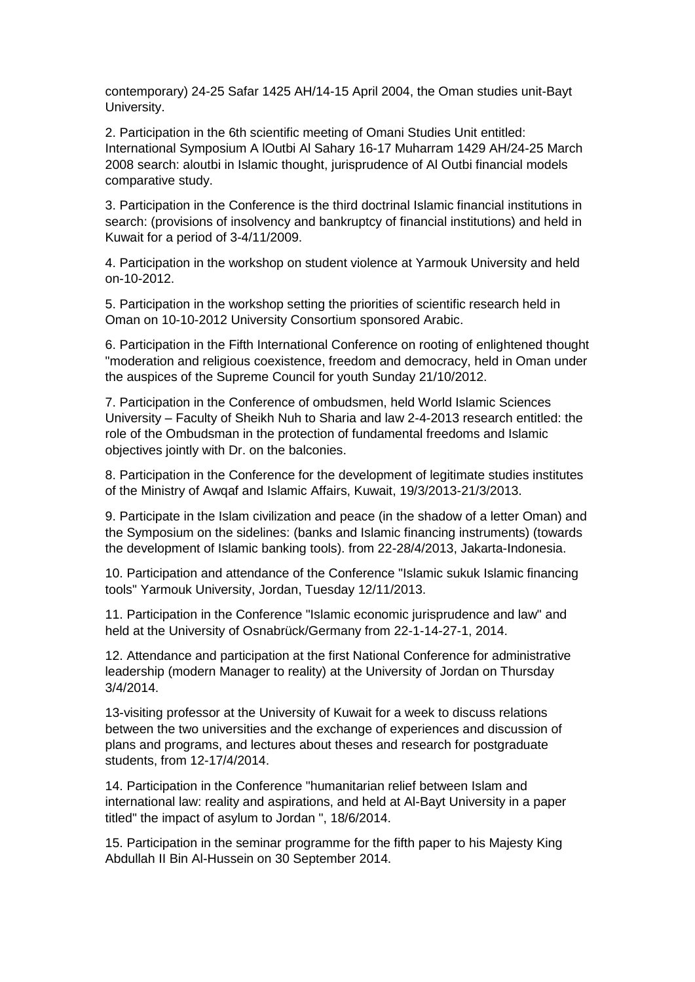contemporary) 24-25 Safar 1425 AH/14-15 April 2004, the Oman studies unit-Bayt University.

2. Participation in the 6th scientific meeting of Omani Studies Unit entitled: International Symposium A lOutbi Al Sahary 16-17 Muharram 1429 AH/24-25 March 2008 search: aloutbi in Islamic thought, jurisprudence of Al Outbi financial models comparative study.

3. Participation in the Conference is the third doctrinal Islamic financial institutions in search: (provisions of insolvency and bankruptcy of financial institutions) and held in Kuwait for a period of 3-4/11/2009.

4. Participation in the workshop on student violence at Yarmouk University and held on-10-2012.

5. Participation in the workshop setting the priorities of scientific research held in Oman on 10-10-2012 University Consortium sponsored Arabic.

6. Participation in the Fifth International Conference on rooting of enlightened thought "moderation and religious coexistence, freedom and democracy, held in Oman under the auspices of the Supreme Council for youth Sunday 21/10/2012.

7. Participation in the Conference of ombudsmen, held World Islamic Sciences University – Faculty of Sheikh Nuh to Sharia and law 2-4-2013 research entitled: the role of the Ombudsman in the protection of fundamental freedoms and Islamic objectives jointly with Dr. on the balconies.

8. Participation in the Conference for the development of legitimate studies institutes of the Ministry of Awqaf and Islamic Affairs, Kuwait, 19/3/2013-21/3/2013.

9. Participate in the Islam civilization and peace (in the shadow of a letter Oman) and the Symposium on the sidelines: (banks and Islamic financing instruments) (towards the development of Islamic banking tools). from 22-28/4/2013, Jakarta-Indonesia.

10. Participation and attendance of the Conference "Islamic sukuk Islamic financing tools" Yarmouk University, Jordan, Tuesday 12/11/2013.

11. Participation in the Conference "Islamic economic jurisprudence and law" and held at the University of Osnabrück/Germany from 22-1-14-27-1, 2014.

12. Attendance and participation at the first National Conference for administrative leadership (modern Manager to reality) at the University of Jordan on Thursday 3/4/2014.

13-visiting professor at the University of Kuwait for a week to discuss relations between the two universities and the exchange of experiences and discussion of plans and programs, and lectures about theses and research for postgraduate students, from 12-17/4/2014.

14. Participation in the Conference "humanitarian relief between Islam and international law: reality and aspirations, and held at Al-Bayt University in a paper titled" the impact of asylum to Jordan ", 18/6/2014.

15. Participation in the seminar programme for the fifth paper to his Majesty King Abdullah II Bin Al-Hussein on 30 September 2014.